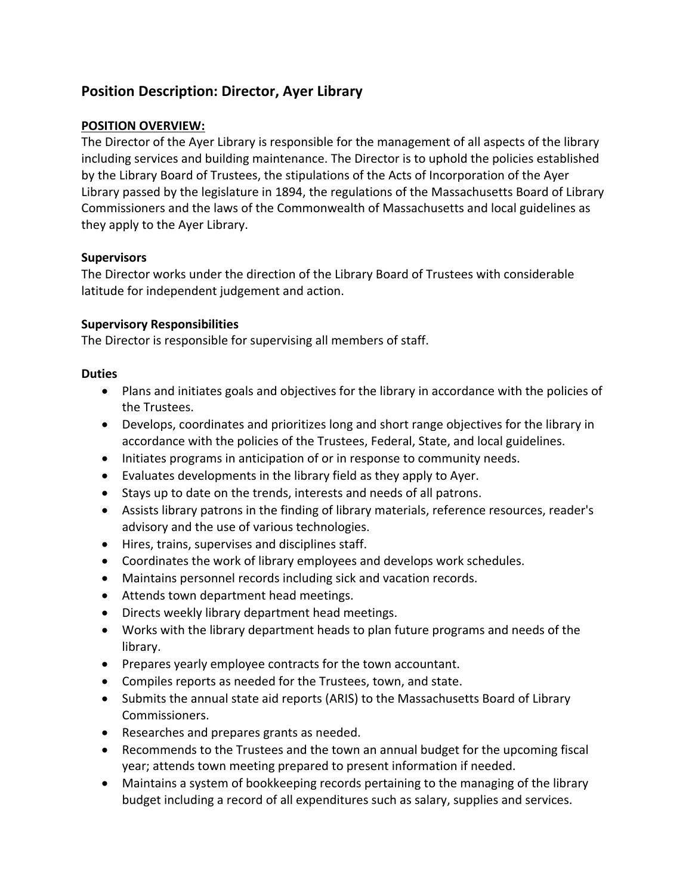# **Position Description: Director, Ayer Library**

## **POSITION OVERVIEW:**

The Director of the Ayer Library is responsible for the management of all aspects of the library including services and building maintenance. The Director is to uphold the policies established by the Library Board of Trustees, the stipulations of the Acts of Incorporation of the Ayer Library passed by the legislature in 1894, the regulations of the Massachusetts Board of Library Commissioners and the laws of the Commonwealth of Massachusetts and local guidelines as they apply to the Ayer Library.

## **Supervisors**

The Director works under the direction of the Library Board of Trustees with considerable latitude for independent judgement and action.

## **Supervisory Responsibilities**

The Director is responsible for supervising all members of staff.

## **Duties**

- Plans and initiates goals and objectives for the library in accordance with the policies of the Trustees.
- Develops, coordinates and prioritizes long and short range objectives for the library in accordance with the policies of the Trustees, Federal, State, and local guidelines.
- Initiates programs in anticipation of or in response to community needs.
- Evaluates developments in the library field as they apply to Ayer.
- Stays up to date on the trends, interests and needs of all patrons.
- Assists library patrons in the finding of library materials, reference resources, reader's advisory and the use of various technologies.
- Hires, trains, supervises and disciplines staff.
- Coordinates the work of library employees and develops work schedules.
- Maintains personnel records including sick and vacation records.
- Attends town department head meetings.
- Directs weekly library department head meetings.
- Works with the library department heads to plan future programs and needs of the library.
- Prepares yearly employee contracts for the town accountant.
- Compiles reports as needed for the Trustees, town, and state.
- Submits the annual state aid reports (ARIS) to the Massachusetts Board of Library Commissioners.
- Researches and prepares grants as needed.
- Recommends to the Trustees and the town an annual budget for the upcoming fiscal year; attends town meeting prepared to present information if needed.
- Maintains a system of bookkeeping records pertaining to the managing of the library budget including a record of all expenditures such as salary, supplies and services.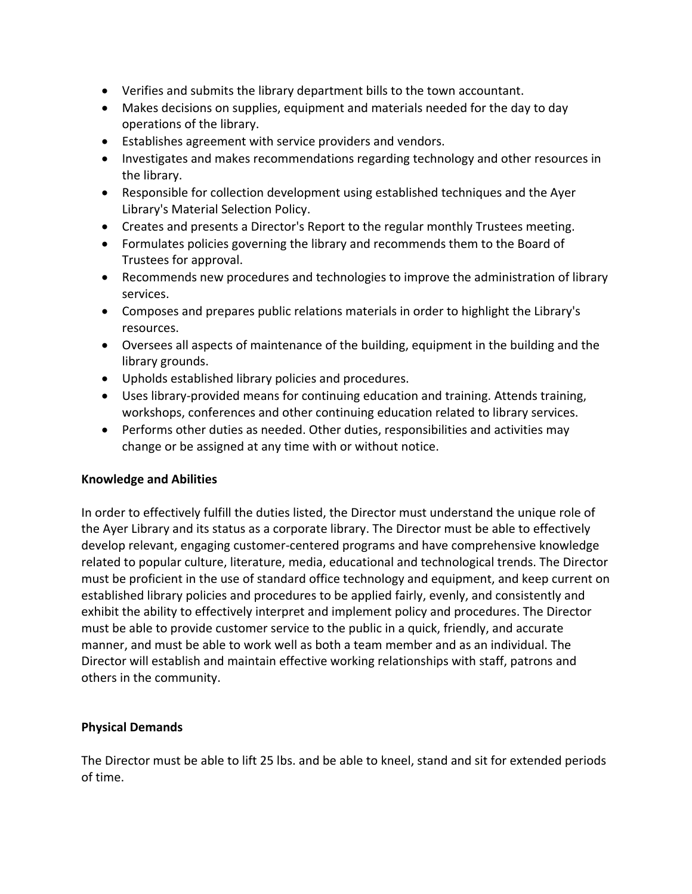- Verifies and submits the library department bills to the town accountant.
- Makes decisions on supplies, equipment and materials needed for the day to day operations of the library.
- Establishes agreement with service providers and vendors.
- Investigates and makes recommendations regarding technology and other resources in the library.
- Responsible for collection development using established techniques and the Ayer Library's Material Selection Policy.
- Creates and presents a Director's Report to the regular monthly Trustees meeting.
- Formulates policies governing the library and recommends them to the Board of Trustees for approval.
- Recommends new procedures and technologies to improve the administration of library services.
- Composes and prepares public relations materials in order to highlight the Library's resources.
- Oversees all aspects of maintenance of the building, equipment in the building and the library grounds.
- Upholds established library policies and procedures.
- Uses library-provided means for continuing education and training. Attends training, workshops, conferences and other continuing education related to library services.
- Performs other duties as needed. Other duties, responsibilities and activities may change or be assigned at any time with or without notice.

## **Knowledge and Abilities**

In order to effectively fulfill the duties listed, the Director must understand the unique role of the Ayer Library and its status as a corporate library. The Director must be able to effectively develop relevant, engaging customer-centered programs and have comprehensive knowledge related to popular culture, literature, media, educational and technological trends. The Director must be proficient in the use of standard office technology and equipment, and keep current on established library policies and procedures to be applied fairly, evenly, and consistently and exhibit the ability to effectively interpret and implement policy and procedures. The Director must be able to provide customer service to the public in a quick, friendly, and accurate manner, and must be able to work well as both a team member and as an individual. The Director will establish and maintain effective working relationships with staff, patrons and others in the community.

## **Physical Demands**

The Director must be able to lift 25 lbs. and be able to kneel, stand and sit for extended periods of time.